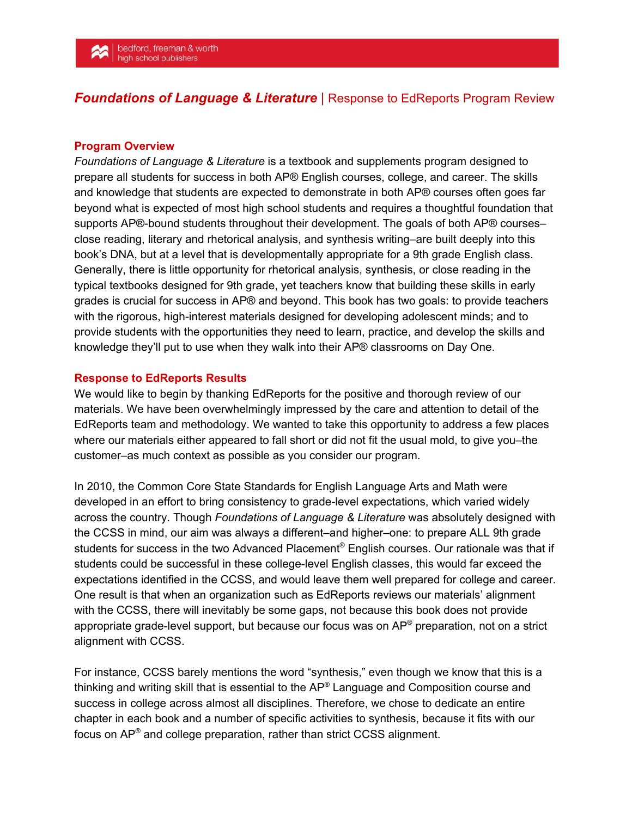## *Foundations of Language & Literature* | Response to EdReports Program Review

## **Program Overview**

*Foundations of Language & Literature* is a textbook and supplements program designed to prepare all students for success in both AP® English courses, college, and career. The skills and knowledge that students are expected to demonstrate in both AP® courses often goes far beyond what is expected of most high school students and requires a thoughtful foundation that supports AP®-bound students throughout their development. The goals of both AP® courses– close reading, literary and rhetorical analysis, and synthesis writing–are built deeply into this book's DNA, but at a level that is developmentally appropriate for a 9th grade English class. Generally, there is little opportunity for rhetorical analysis, synthesis, or close reading in the typical textbooks designed for 9th grade, yet teachers know that building these skills in early grades is crucial for success in AP® and beyond. This book has two goals: to provide teachers with the rigorous, high-interest materials designed for developing adolescent minds; and to provide students with the opportunities they need to learn, practice, and develop the skills and knowledge they'll put to use when they walk into their AP® classrooms on Day One.

## **Response to EdReports Results**

We would like to begin by thanking EdReports for the positive and thorough review of our materials. We have been overwhelmingly impressed by the care and attention to detail of the EdReports team and methodology. We wanted to take this opportunity to address a few places where our materials either appeared to fall short or did not fit the usual mold, to give you–the customer–as much context as possible as you consider our program.

In 2010, the Common Core State Standards for English Language Arts and Math were developed in an effort to bring consistency to grade-level expectations, which varied widely across the country. Though *Foundations of Language & Literature* was absolutely designed with the CCSS in mind, our aim was always a different–and higher–one: to prepare ALL 9th grade students for success in the two Advanced Placement® English courses. Our rationale was that if students could be successful in these college-level English classes, this would far exceed the expectations identified in the CCSS, and would leave them well prepared for college and career. One result is that when an organization such as EdReports reviews our materials' alignment with the CCSS, there will inevitably be some gaps, not because this book does not provide appropriate grade-level support, but because our focus was on AP® preparation, not on a strict alignment with CCSS.

For instance, CCSS barely mentions the word "synthesis," even though we know that this is a thinking and writing skill that is essential to the AP® Language and Composition course and success in college across almost all disciplines. Therefore, we chose to dedicate an entire chapter in each book and a number of specific activities to synthesis, because it fits with our focus on AP<sup>®</sup> and college preparation, rather than strict CCSS alignment.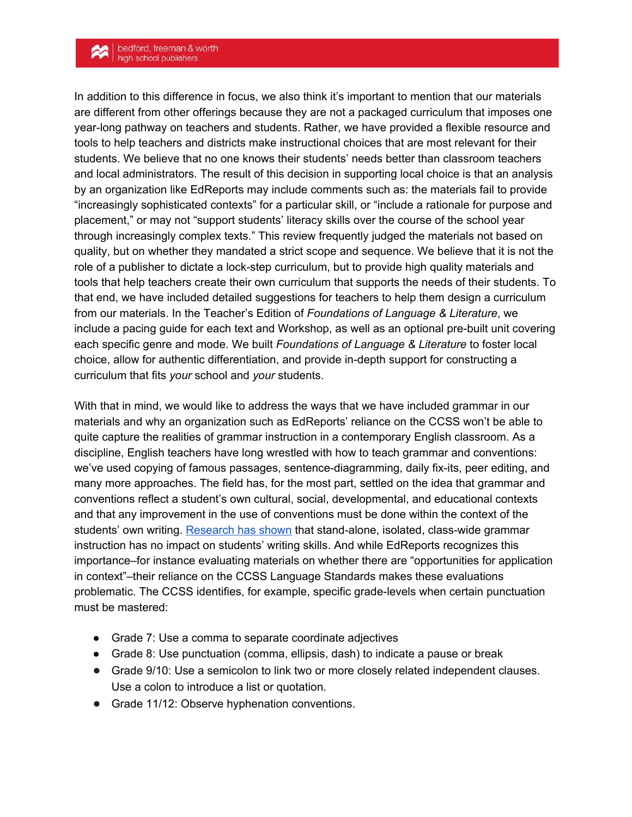## bedford, freeman & worth<br>high school publishers

In addition to this difference in focus, we also think it's important to mention that our materials are different from other offerings because they are not a packaged curriculum that imposes one year-long pathway on teachers and students. Rather, we have provided a flexible resource and tools to help teachers and districts make instructional choices that are most relevant for their students. We believe that no one knows their students' needs better than classroom teachers and local administrators. The result of this decision in supporting local choice is that an analysis by an organization like EdReports may include comments such as: the materials fail to provide "increasingly sophisticated contexts" for a particular skill, or "include a rationale for purpose and placement," or may not "support students' literacy skills over the course of the school year through increasingly complex texts." This review frequently judged the materials not based on quality, but on whether they mandated a strict scope and sequence. We believe that it is not the role of a publisher to dictate a lock-step curriculum, but to provide high quality materials and tools that help teachers create their own curriculum that supports the needs of their students. To that end, we have included detailed suggestions for teachers to help them design a curriculum from our materials. In the Teacher's Edition of *Foundations of Language & Literature*, we include a pacing guide for each text and Workshop, as well as an optional pre-built unit covering each specific genre and mode. We built *Foundations of Language & Literature* to foster local choice, allow for authentic differentiation, and provide in-depth support for constructing a curriculum that fits *your* school and *your* students.

With that in mind, we would like to address the ways that we have included grammar in our materials and why an organization such as EdReports' reliance on the CCSS won't be able to quite capture the realities of grammar instruction in a contemporary English classroom. As a discipline, English teachers have long wrestled with how to teach grammar and conventions: we've used copying of famous passages, sentence-diagramming, daily fix-its, peer editing, and many more approaches. The field has, for the most part, settled on the idea that grammar and conventions reflect a student's own cultural, social, developmental, and educational contexts and that any improvement in the use of conventions must be done within the context of the students' own writing. [Research](https://www2.ncte.org/statement/grammarexercises/) has shown that stand-alone, isolated, class-wide grammar instruction has no impact on students' writing skills. And while EdReports recognizes this importance–for instance evaluating materials on whether there are "opportunities for application in context"–their reliance on the CCSS Language Standards makes these evaluations problematic. The CCSS identifies, for example, specific grade-levels when certain punctuation must be mastered:

- Grade 7: Use a comma to separate coordinate adjectives
- Grade 8: Use punctuation (comma, ellipsis, dash) to indicate a pause or break
- Grade 9/10: Use a semicolon to link two or more closely related independent clauses. Use a colon to introduce a list or quotation.
- Grade 11/12: Observe hyphenation conventions.